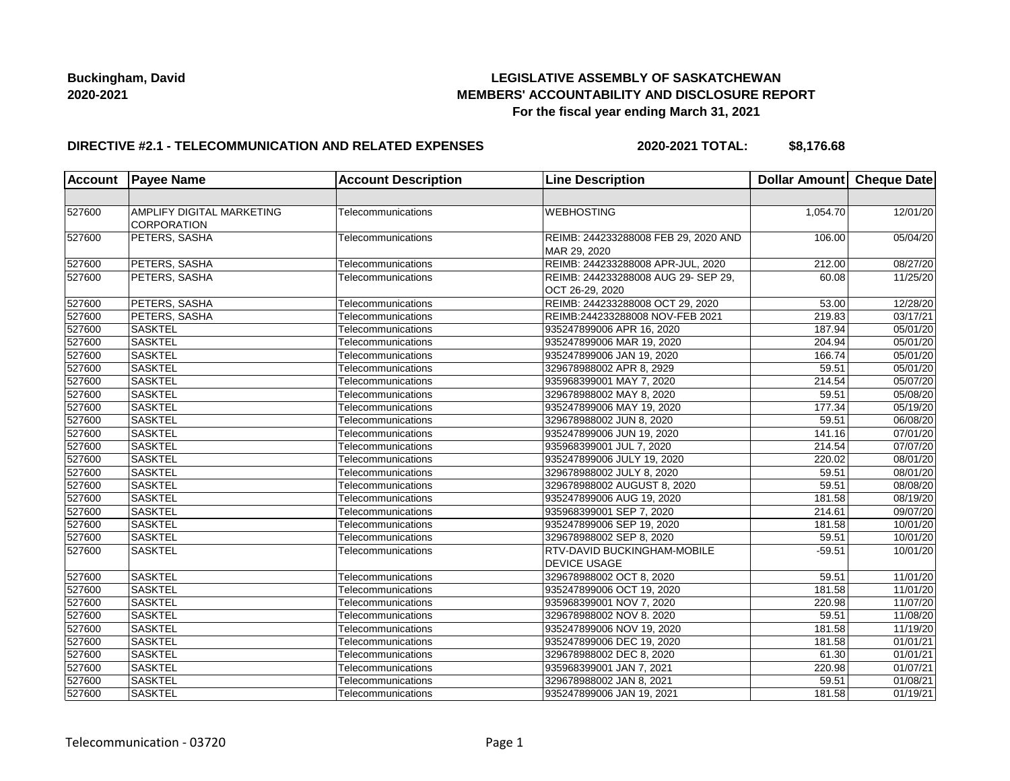# **LEGISLATIVE ASSEMBLY OF SASKATCHEWAN MEMBERS' ACCOUNTABILITY AND DISCLOSURE REPORT For the fiscal year ending March 31, 2021**

### **DIRECTIVE #2.1 - TELECOMMUNICATION AND RELATED EXPENSES**

**2020-2021 TOTAL: \$8,176.68**

| <b>Account</b> | <b>Payee Name</b>                               | <b>Account Description</b> | <b>Line Description</b>                                   | Dollar Amount Cheque Date |                       |
|----------------|-------------------------------------------------|----------------------------|-----------------------------------------------------------|---------------------------|-----------------------|
|                |                                                 |                            |                                                           |                           |                       |
| 527600         | AMPLIFY DIGITAL MARKETING<br><b>CORPORATION</b> | Telecommunications         | <b>WEBHOSTING</b>                                         | 1,054.70                  | 12/01/20              |
| 527600         | PETERS, SASHA                                   | Telecommunications         | REIMB: 244233288008 FEB 29, 2020 AND<br>MAR 29, 2020      | 106.00                    | 05/04/20              |
| 527600         | PETERS, SASHA                                   | Telecommunications         | REIMB: 244233288008 APR-JUL, 2020                         | 212.00                    | 08/27/20              |
| 527600         | PETERS, SASHA                                   | Telecommunications         | REIMB: 244233288008 AUG 29- SEP 29,<br>OCT 26-29, 2020    | 60.08                     | 11/25/20              |
| 527600         | PETERS, SASHA                                   | Telecommunications         | REIMB: 244233288008 OCT 29, 2020                          | 53.00                     | 12/28/20              |
| 527600         | PETERS, SASHA                                   | Telecommunications         | REIMB:244233288008 NOV-FEB 2021                           | 219.83                    | 03/17/21              |
| 527600         | <b>SASKTEL</b>                                  | Telecommunications         | 935247899006 APR 16, 2020                                 | 187.94                    | 05/01/20              |
| 527600         | <b>SASKTEL</b>                                  | Telecommunications         | 935247899006 MAR 19, 2020                                 | 204.94                    | 05/01/20              |
| 527600         | <b>SASKTEL</b>                                  | Telecommunications         | 935247899006 JAN 19, 2020                                 | 166.74                    | 05/01/20              |
| 527600         | <b>SASKTEL</b>                                  | Telecommunications         | 329678988002 APR 8, 2929                                  | 59.51                     | 05/01/20              |
| 527600         | <b>SASKTEL</b>                                  | Telecommunications         | 935968399001 MAY 7, 2020                                  | 214.54                    | 05/07/20              |
| 527600         | <b>SASKTEL</b>                                  | Telecommunications         | 329678988002 MAY 8, 2020                                  | 59.51                     | 05/08/20              |
| 527600         | <b>SASKTEL</b>                                  | Telecommunications         | 935247899006 MAY 19, 2020                                 | 177.34                    | 05/19/20              |
| 527600         | <b>SASKTEL</b>                                  | Telecommunications         | 329678988002 JUN 8, 2020                                  | 59.51                     | 06/08/20              |
| 527600         | <b>SASKTEL</b>                                  | Telecommunications         | 935247899006 JUN 19, 2020                                 | 141.16                    | $\overline{07/01/20}$ |
| 527600         | <b>SASKTEL</b>                                  | Telecommunications         | 935968399001 JUL 7, 2020                                  | 214.54                    | 07/07/20              |
| 527600         | <b>SASKTEL</b>                                  | Telecommunications         | 935247899006 JULY 19, 2020                                | 220.02                    | 08/01/20              |
| 527600         | <b>SASKTEL</b>                                  | Telecommunications         | 329678988002 JULY 8, 2020                                 | 59.51                     | 08/01/20              |
| 527600         | <b>SASKTEL</b>                                  | Telecommunications         | 329678988002 AUGUST 8, 2020                               | 59.51                     | 08/08/20              |
| 527600         | <b>SASKTEL</b>                                  | Telecommunications         | 935247899006 AUG 19, 2020                                 | 181.58                    | 08/19/20              |
| 527600         | <b>SASKTEL</b>                                  | Telecommunications         | 935968399001 SEP 7, 2020                                  | 214.61                    | 09/07/20              |
| 527600         | <b>SASKTEL</b>                                  | Telecommunications         | 935247899006 SEP 19, 2020                                 | 181.58                    | 10/01/20              |
| 527600         | <b>SASKTEL</b>                                  | Telecommunications         | 329678988002 SEP 8, 2020                                  | 59.51                     | 10/01/20              |
| 527600         | <b>SASKTEL</b>                                  | Telecommunications         | <b>RTV-DAVID BUCKINGHAM-MOBILE</b><br><b>DEVICE USAGE</b> | $-59.51$                  | 10/01/20              |
| 527600         | <b>SASKTEL</b>                                  | Telecommunications         | 329678988002 OCT 8, 2020                                  | $\overline{59.51}$        | 11/01/20              |
| 527600         | <b>SASKTEL</b>                                  | Telecommunications         | 935247899006 OCT 19, 2020                                 | 181.58                    | 11/01/20              |
| 527600         | <b>SASKTEL</b>                                  | Telecommunications         | 935968399001 NOV 7, 2020                                  | 220.98                    | 11/07/20              |
| 527600         | <b>SASKTEL</b>                                  | Telecommunications         | 329678988002 NOV 8. 2020                                  | 59.51                     | 11/08/20              |
| 527600         | <b>SASKTEL</b>                                  | Telecommunications         | 935247899006 NOV 19, 2020                                 | 181.58                    | 11/19/20              |
| 527600         | <b>SASKTEL</b>                                  | Telecommunications         | 935247899006 DEC 19, 2020                                 | 181.58                    | 01/01/21              |
| 527600         | <b>SASKTEL</b>                                  | Telecommunications         | 329678988002 DEC 8, 2020                                  | 61.30                     | 01/01/21              |
| 527600         | <b>SASKTEL</b>                                  | Telecommunications         | 935968399001 JAN 7, 2021                                  | 220.98                    | 01/07/21              |
| 527600         | <b>SASKTEL</b>                                  | Telecommunications         | 329678988002 JAN 8, 2021                                  | 59.51                     | 01/08/21              |
| 527600         | <b>SASKTEL</b>                                  | Telecommunications         | 935247899006 JAN 19, 2021                                 | 181.58                    | 01/19/21              |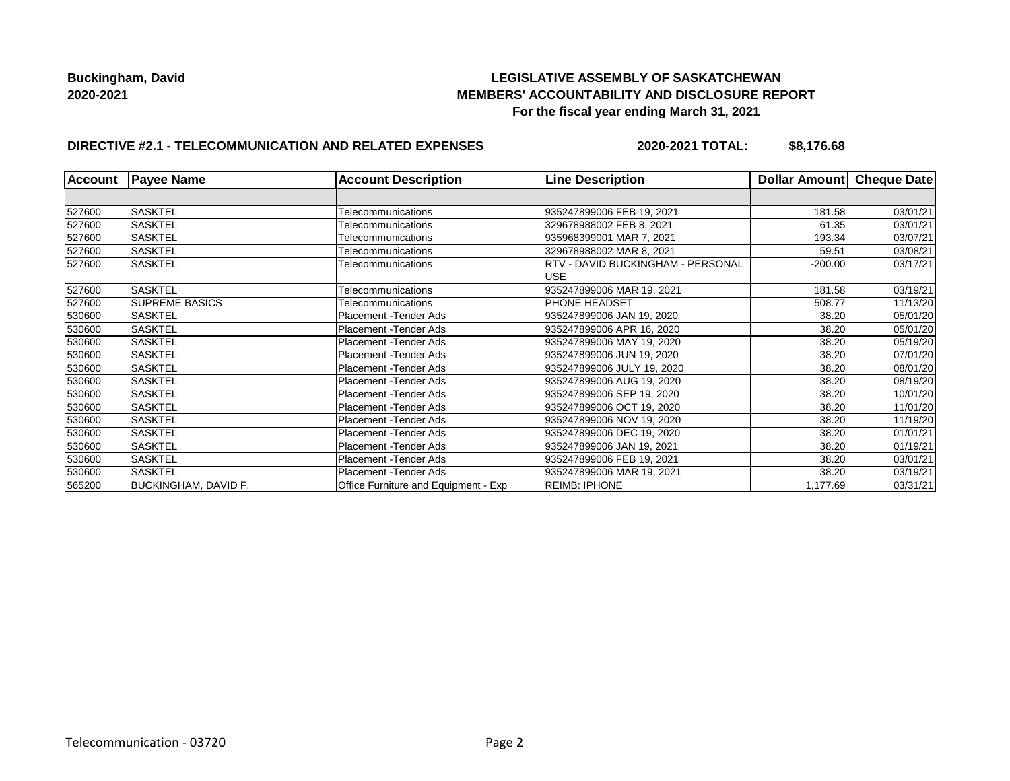# **LEGISLATIVE ASSEMBLY OF SASKATCHEWAN MEMBERS' ACCOUNTABILITY AND DISCLOSURE REPORT For the fiscal year ending March 31, 2021**

# **DIRECTIVE #2.1 - TELECOMMUNICATION AND RELATED EXPENSES**

**2020-2021 TOTAL: \$8,176.68**

| <b>Account</b> | <b>Payee Name</b>           | <b>Account Description</b>           | <b>Line Description</b>           | Dollar Amount | Cheque Date |
|----------------|-----------------------------|--------------------------------------|-----------------------------------|---------------|-------------|
|                |                             |                                      |                                   |               |             |
| 527600         | <b>SASKTEL</b>              | Telecommunications                   | 935247899006 FEB 19, 2021         | 181.58        | 03/01/21    |
| 527600         | <b>SASKTEL</b>              | Telecommunications                   | 329678988002 FEB 8, 2021          | 61.35         | 03/01/21    |
| 527600         | <b>SASKTEL</b>              | Telecommunications                   | 935968399001 MAR 7, 2021          | 193.34        | 03/07/21    |
| 527600         | <b>SASKTEL</b>              | Telecommunications                   | 329678988002 MAR 8, 2021          | 59.51         | 03/08/21    |
| 527600         | <b>SASKTEL</b>              | Telecommunications                   | RTV - DAVID BUCKINGHAM - PERSONAL | $-200.00$     | 03/17/21    |
|                |                             |                                      | <b>USE</b>                        |               |             |
| 527600         | <b>SASKTEL</b>              | Telecommunications                   | 935247899006 MAR 19, 2021         | 181.58        | 03/19/21    |
| 527600         | <b>SUPREME BASICS</b>       | Telecommunications                   | PHONE HEADSET                     | 508.77        | 11/13/20    |
| 530600         | <b>SASKTEL</b>              | Placement -Tender Ads                | 935247899006 JAN 19, 2020         | 38.20         | 05/01/20    |
| 530600         | <b>SASKTEL</b>              | Placement - Tender Ads               | 935247899006 APR 16, 2020         | 38.20         | 05/01/20    |
| 530600         | <b>SASKTEL</b>              | Placement - Tender Ads               | 935247899006 MAY 19, 2020         | 38.20         | 05/19/20    |
| 530600         | <b>SASKTEL</b>              | Placement - Tender Ads               | 935247899006 JUN 19, 2020         | 38.20         | 07/01/20    |
| 530600         | <b>SASKTEL</b>              | Placement - Tender Ads               | 935247899006 JULY 19, 2020        | 38.20         | 08/01/20    |
| 530600         | SASKTEL                     | Placement - Tender Ads               | 935247899006 AUG 19, 2020         | 38.20         | 08/19/20    |
| 530600         | <b>SASKTEL</b>              | Placement -Tender Ads                | 935247899006 SEP 19, 2020         | 38.20         | 10/01/20    |
| 530600         | <b>SASKTEL</b>              | Placement - Tender Ads               | 935247899006 OCT 19, 2020         | 38.20         | 11/01/20    |
| 530600         | <b>SASKTEL</b>              | Placement - Tender Ads               | 935247899006 NOV 19, 2020         | 38.20         | 11/19/20    |
| 530600         | SASKTEL                     | Placement - Tender Ads               | 935247899006 DEC 19, 2020         | 38.20         | 01/01/21    |
| 530600         | SASKTEL                     | Placement -Tender Ads                | 935247899006 JAN 19, 2021         | 38.20         | 01/19/21    |
| 530600         | SASKTEL                     | Placement - Tender Ads               | 935247899006 FEB 19, 2021         | 38.20         | 03/01/21    |
| 530600         | <b>SASKTEL</b>              | Placement -Tender Ads                | 935247899006 MAR 19, 2021         | 38.20         | 03/19/21    |
| 565200         | <b>BUCKINGHAM, DAVID F.</b> | Office Furniture and Equipment - Exp | <b>REIMB: IPHONE</b>              | 1,177.69      | 03/31/21    |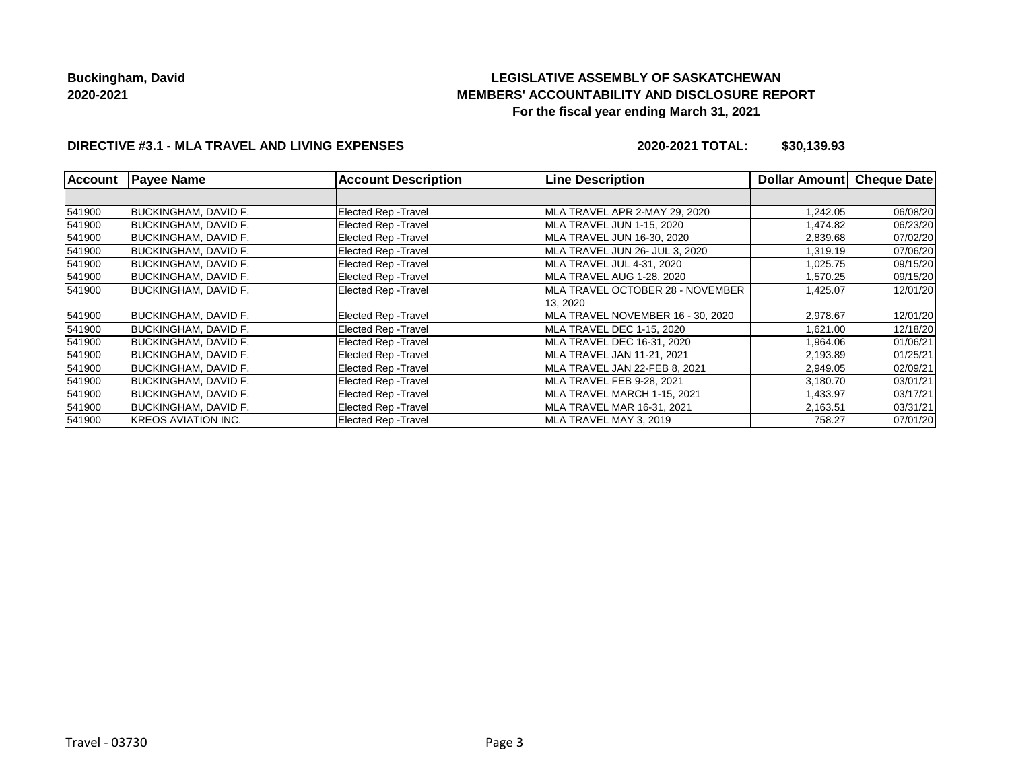# **LEGISLATIVE ASSEMBLY OF SASKATCHEWAN MEMBERS' ACCOUNTABILITY AND DISCLOSURE REPORT For the fiscal year ending March 31, 2021**

# **DIRECTIVE #3.1 - MLA TRAVEL AND LIVING EXPENSES**

**2020-2021 TOTAL: \$30,139.93**

| <b>Account</b> | <b>Payee Name</b>           | <b>Account Description</b>  | <b>Line Description</b>           | <b>Dollar Amount</b> | Cheque Date |
|----------------|-----------------------------|-----------------------------|-----------------------------------|----------------------|-------------|
|                |                             |                             |                                   |                      |             |
| 541900         | <b>BUCKINGHAM, DAVID F.</b> | <b>Elected Rep - Travel</b> | MLA TRAVEL APR 2-MAY 29, 2020     | 1,242.05             | 06/08/20    |
| 541900         | BUCKINGHAM, DAVID F.        | Elected Rep - Travel        | MLA TRAVEL JUN 1-15, 2020         | 1,474.82             | 06/23/20    |
| 541900         | <b>BUCKINGHAM, DAVID F.</b> | Elected Rep - Travel        | MLA TRAVEL JUN 16-30, 2020        | 2,839.68             | 07/02/20    |
| 541900         | <b>BUCKINGHAM, DAVID F.</b> | <b>Elected Rep - Travel</b> | MLA TRAVEL JUN 26- JUL 3, 2020    | 1,319.19             | 07/06/20    |
| 541900         | BUCKINGHAM, DAVID F.        | <b>Elected Rep - Travel</b> | MLA TRAVEL JUL 4-31, 2020         | 1,025.75             | 09/15/20    |
| 541900         | <b>BUCKINGHAM, DAVID F.</b> | <b>Elected Rep - Travel</b> | MLA TRAVEL AUG 1-28, 2020         | 1,570.25             | 09/15/20    |
| 541900         | <b>BUCKINGHAM, DAVID F.</b> | <b>Elected Rep - Travel</b> | MLA TRAVEL OCTOBER 28 - NOVEMBER  | 1,425.07             | 12/01/20    |
|                |                             |                             | 13, 2020                          |                      |             |
| 541900         | <b>BUCKINGHAM, DAVID F.</b> | <b>Elected Rep - Travel</b> | MLA TRAVEL NOVEMBER 16 - 30, 2020 | 2,978.67             | 12/01/20    |
| 541900         | BUCKINGHAM, DAVID F.        | <b>Elected Rep - Travel</b> | MLA TRAVEL DEC 1-15, 2020         | 1,621.00             | 12/18/20    |
| 541900         | BUCKINGHAM, DAVID F.        | Elected Rep - Travel        | MLA TRAVEL DEC 16-31, 2020        | 1,964.06             | 01/06/21    |
| 541900         | BUCKINGHAM, DAVID F.        | Elected Rep - Travel        | MLA TRAVEL JAN 11-21, 2021        | 2,193.89             | 01/25/21    |
| 541900         | BUCKINGHAM, DAVID F.        | Elected Rep - Travel        | MLA TRAVEL JAN 22-FEB 8, 2021     | 2,949.05             | 02/09/21    |
| 541900         | <b>BUCKINGHAM, DAVID F.</b> | Elected Rep - Travel        | MLA TRAVEL FEB 9-28, 2021         | 3,180.70             | 03/01/21    |
| 541900         | <b>BUCKINGHAM, DAVID F.</b> | <b>Elected Rep - Travel</b> | MLA TRAVEL MARCH 1-15, 2021       | 1,433.97             | 03/17/21    |
| 541900         | <b>BUCKINGHAM, DAVID F.</b> | Elected Rep - Travel        | MLA TRAVEL MAR 16-31, 2021        | 2,163.51             | 03/31/21    |
| 541900         | <b>KREOS AVIATION INC.</b>  | <b>Elected Rep - Travel</b> | MLA TRAVEL MAY 3, 2019            | 758.27               | 07/01/20    |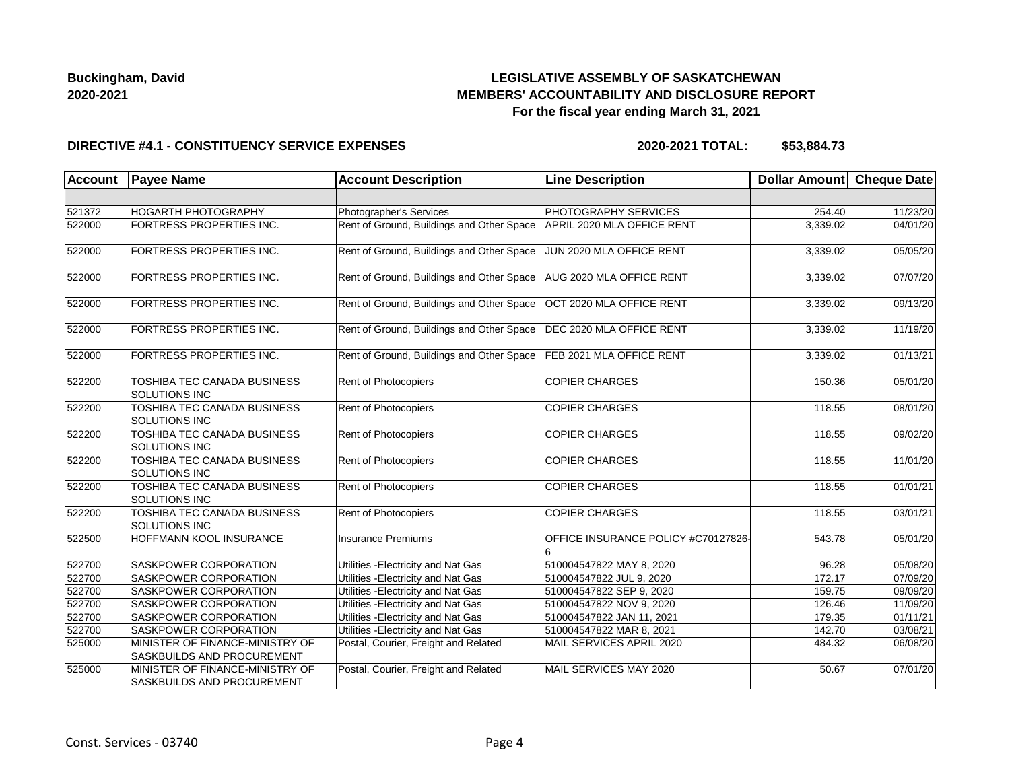# **LEGISLATIVE ASSEMBLY OF SASKATCHEWAN MEMBERS' ACCOUNTABILITY AND DISCLOSURE REPORT For the fiscal year ending March 31, 2021**

#### **DIRECTIVE #4.1 - CONSTITUENCY SERVICE EXPENSES**

| <b>Account</b> | <b>Payee Name</b>                                             | <b>Account Description</b>                | <b>Line Description</b>             | Dollar Amount | <b>Cheque Date</b>    |
|----------------|---------------------------------------------------------------|-------------------------------------------|-------------------------------------|---------------|-----------------------|
|                |                                                               |                                           |                                     |               |                       |
| 521372         | <b>HOGARTH PHOTOGRAPHY</b>                                    | Photographer's Services                   | PHOTOGRAPHY SERVICES                | 254.40        | 11/23/20              |
| 522000         | FORTRESS PROPERTIES INC.                                      | Rent of Ground, Buildings and Other Space | APRIL 2020 MLA OFFICE RENT          | 3,339.02      | 04/01/20              |
| 522000         | FORTRESS PROPERTIES INC.                                      | Rent of Ground, Buildings and Other Space | JUN 2020 MLA OFFICE RENT            | 3,339.02      | 05/05/20              |
| 522000         | FORTRESS PROPERTIES INC.                                      | Rent of Ground, Buildings and Other Space | AUG 2020 MLA OFFICE RENT            | 3,339.02      | 07/07/20              |
| 522000         | FORTRESS PROPERTIES INC.                                      | Rent of Ground, Buildings and Other Space | OCT 2020 MLA OFFICE RENT            | 3,339.02      | 09/13/20              |
| 522000         | <b>FORTRESS PROPERTIES INC.</b>                               | Rent of Ground, Buildings and Other Space | DEC 2020 MLA OFFICE RENT            | 3,339.02      | 11/19/20              |
| 522000         | FORTRESS PROPERTIES INC.                                      | Rent of Ground, Buildings and Other Space | FEB 2021 MLA OFFICE RENT            | 3,339.02      | 01/13/21              |
| 522200         | TOSHIBA TEC CANADA BUSINESS<br><b>SOLUTIONS INC</b>           | Rent of Photocopiers                      | <b>COPIER CHARGES</b>               | 150.36        | 05/01/20              |
| 522200         | TOSHIBA TEC CANADA BUSINESS<br>SOLUTIONS INC                  | Rent of Photocopiers                      | <b>COPIER CHARGES</b>               | 118.55        | 08/01/20              |
| 522200         | TOSHIBA TEC CANADA BUSINESS<br><b>SOLUTIONS INC</b>           | Rent of Photocopiers                      | <b>COPIER CHARGES</b>               | 118.55        | 09/02/20              |
| 522200         | TOSHIBA TEC CANADA BUSINESS<br>SOLUTIONS INC                  | Rent of Photocopiers                      | <b>COPIER CHARGES</b>               | 118.55        | 11/01/20              |
| 522200         | TOSHIBA TEC CANADA BUSINESS<br><b>SOLUTIONS INC</b>           | Rent of Photocopiers                      | <b>COPIER CHARGES</b>               | 118.55        | 01/01/21              |
| 522200         | TOSHIBA TEC CANADA BUSINESS<br><b>SOLUTIONS INC</b>           | Rent of Photocopiers                      | <b>COPIER CHARGES</b>               | 118.55        | 03/01/21              |
| 522500         | HOFFMANN KOOL INSURANCE                                       | <b>Insurance Premiums</b>                 | OFFICE INSURANCE POLICY #C70127826- | 543.78        | 05/01/20              |
| 522700         | <b>SASKPOWER CORPORATION</b>                                  | Utilities - Electricity and Nat Gas       | 510004547822 MAY 8, 2020            | 96.28         | $\overline{05}/08/20$ |
| 522700         | SASKPOWER CORPORATION                                         | Utilities - Electricity and Nat Gas       | 510004547822 JUL 9, 2020            | 172.17        | 07/09/20              |
| 522700         | SASKPOWER CORPORATION                                         | Utilities - Electricity and Nat Gas       | 510004547822 SEP 9, 2020            | 159.75        | 09/09/20              |
| 522700         | SASKPOWER CORPORATION                                         | Utilities - Electricity and Nat Gas       | 510004547822 NOV 9, 2020            | 126.46        | 11/09/20              |
| 522700         | SASKPOWER CORPORATION                                         | Utilities - Electricity and Nat Gas       | 510004547822 JAN 11, 2021           | 179.35        | 01/11/21              |
| 522700         | SASKPOWER CORPORATION                                         | Utilities - Electricity and Nat Gas       | 510004547822 MAR 8, 2021            | 142.70        | 03/08/21              |
| 525000         | MINISTER OF FINANCE-MINISTRY OF<br>SASKBUILDS AND PROCUREMENT | Postal, Courier, Freight and Related      | MAIL SERVICES APRIL 2020            | 484.32        | 06/08/20              |
| 525000         | MINISTER OF FINANCE-MINISTRY OF<br>SASKBUILDS AND PROCUREMENT | Postal, Courier, Freight and Related      | MAIL SERVICES MAY 2020              | 50.67         | 07/01/20              |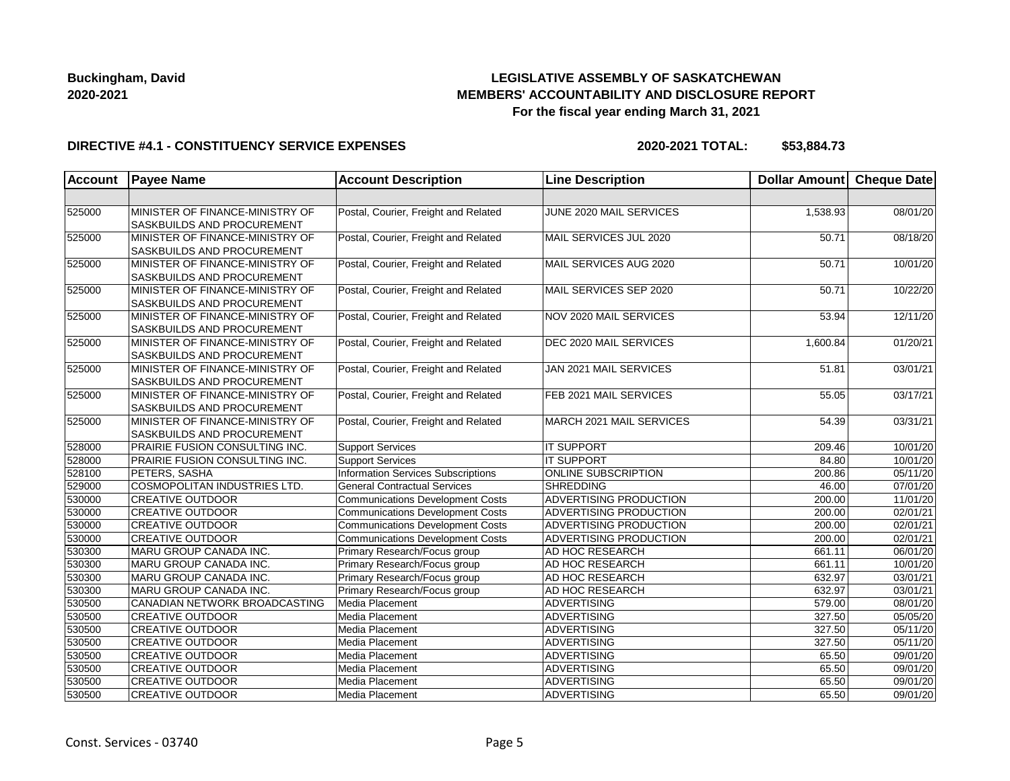# **LEGISLATIVE ASSEMBLY OF SASKATCHEWAN MEMBERS' ACCOUNTABILITY AND DISCLOSURE REPORT For the fiscal year ending March 31, 2021**

### **DIRECTIVE #4.1 - CONSTITUENCY SERVICE EXPENSES**

| <b>Account</b> | <b>Payee Name</b>                                                    | <b>Account Description</b>                | <b>Line Description</b>       | Dollar Amount Cheque Date |          |
|----------------|----------------------------------------------------------------------|-------------------------------------------|-------------------------------|---------------------------|----------|
|                |                                                                      |                                           |                               |                           |          |
| 525000         | MINISTER OF FINANCE-MINISTRY OF<br>SASKBUILDS AND PROCUREMENT        | Postal, Courier, Freight and Related      | JUNE 2020 MAIL SERVICES       | 1,538.93                  | 08/01/20 |
| 525000         | MINISTER OF FINANCE-MINISTRY OF<br>SASKBUILDS AND PROCUREMENT        | Postal, Courier, Freight and Related      | MAIL SERVICES JUL 2020        | 50.71                     | 08/18/20 |
| 525000         | MINISTER OF FINANCE-MINISTRY OF<br>SASKBUILDS AND PROCUREMENT        | Postal, Courier, Freight and Related      | MAIL SERVICES AUG 2020        | 50.71                     | 10/01/20 |
| 525000         | MINISTER OF FINANCE-MINISTRY OF<br>SASKBUILDS AND PROCUREMENT        | Postal, Courier, Freight and Related      | MAIL SERVICES SEP 2020        | 50.71                     | 10/22/20 |
| 525000         | MINISTER OF FINANCE-MINISTRY OF<br><b>SASKBUILDS AND PROCUREMENT</b> | Postal, Courier, Freight and Related      | NOV 2020 MAIL SERVICES        | 53.94                     | 12/11/20 |
| 525000         | MINISTER OF FINANCE-MINISTRY OF<br>SASKBUILDS AND PROCUREMENT        | Postal, Courier, Freight and Related      | DEC 2020 MAIL SERVICES        | 1,600.84                  | 01/20/21 |
| 525000         | MINISTER OF FINANCE-MINISTRY OF<br>SASKBUILDS AND PROCUREMENT        | Postal, Courier, Freight and Related      | JAN 2021 MAIL SERVICES        | 51.81                     | 03/01/21 |
| 525000         | MINISTER OF FINANCE-MINISTRY OF<br>SASKBUILDS AND PROCUREMENT        | Postal, Courier, Freight and Related      | FEB 2021 MAIL SERVICES        | 55.05                     | 03/17/21 |
| 525000         | MINISTER OF FINANCE-MINISTRY OF<br>SASKBUILDS AND PROCUREMENT        | Postal, Courier, Freight and Related      | MARCH 2021 MAIL SERVICES      | 54.39                     | 03/31/21 |
| 528000         | PRAIRIE FUSION CONSULTING INC.                                       | <b>Support Services</b>                   | <b>IT SUPPORT</b>             | 209.46                    | 10/01/20 |
| 528000         | PRAIRIE FUSION CONSULTING INC.                                       | <b>Support Services</b>                   | <b>IT SUPPORT</b>             | 84.80                     | 10/01/20 |
| 528100         | PETERS, SASHA                                                        | <b>Information Services Subscriptions</b> | <b>ONLINE SUBSCRIPTION</b>    | 200.86                    | 05/11/20 |
| 529000         | COSMOPOLITAN INDUSTRIES LTD.                                         | <b>General Contractual Services</b>       | <b>SHREDDING</b>              | 46.00                     | 07/01/20 |
| 530000         | <b>CREATIVE OUTDOOR</b>                                              | <b>Communications Development Costs</b>   | ADVERTISING PRODUCTION        | 200.00                    | 11/01/20 |
| 530000         | <b>CREATIVE OUTDOOR</b>                                              | <b>Communications Development Costs</b>   | ADVERTISING PRODUCTION        | 200.00                    | 02/01/21 |
| 530000         | <b>CREATIVE OUTDOOR</b>                                              | <b>Communications Development Costs</b>   | ADVERTISING PRODUCTION        | 200.00                    | 02/01/21 |
| 530000         | <b>CREATIVE OUTDOOR</b>                                              | <b>Communications Development Costs</b>   | <b>ADVERTISING PRODUCTION</b> | 200.00                    | 02/01/21 |
| 530300         | MARU GROUP CANADA INC.                                               | Primary Research/Focus group              | AD HOC RESEARCH               | 661.11                    | 06/01/20 |
| 530300         | MARU GROUP CANADA INC.                                               | Primary Research/Focus group              | AD HOC RESEARCH               | 661.11                    | 10/01/20 |
| 530300         | MARU GROUP CANADA INC.                                               | Primary Research/Focus group              | AD HOC RESEARCH               | 632.97                    | 03/01/21 |
| 530300         | MARU GROUP CANADA INC.                                               | Primary Research/Focus group              | AD HOC RESEARCH               | 632.97                    | 03/01/21 |
| 530500         | CANADIAN NETWORK BROADCASTING                                        | Media Placement                           | <b>ADVERTISING</b>            | 579.00                    | 08/01/20 |
| 530500         | <b>CREATIVE OUTDOOR</b>                                              | Media Placement                           | ADVERTISING                   | 327.50                    | 05/05/20 |
| 530500         | <b>CREATIVE OUTDOOR</b>                                              | Media Placement                           | <b>ADVERTISING</b>            | 327.50                    | 05/11/20 |
| 530500         | <b>CREATIVE OUTDOOR</b>                                              | Media Placement                           | <b>ADVERTISING</b>            | 327.50                    | 05/11/20 |
| 530500         | <b>CREATIVE OUTDOOR</b>                                              | Media Placement                           | <b>ADVERTISING</b>            | 65.50                     | 09/01/20 |
| 530500         | <b>CREATIVE OUTDOOR</b>                                              | Media Placement                           | <b>ADVERTISING</b>            | 65.50                     | 09/01/20 |
| 530500         | <b>CREATIVE OUTDOOR</b>                                              | Media Placement                           | ADVERTISING                   | 65.50                     | 09/01/20 |
| 530500         | <b>CREATIVE OUTDOOR</b>                                              | Media Placement                           | ADVERTISING                   | 65.50                     | 09/01/20 |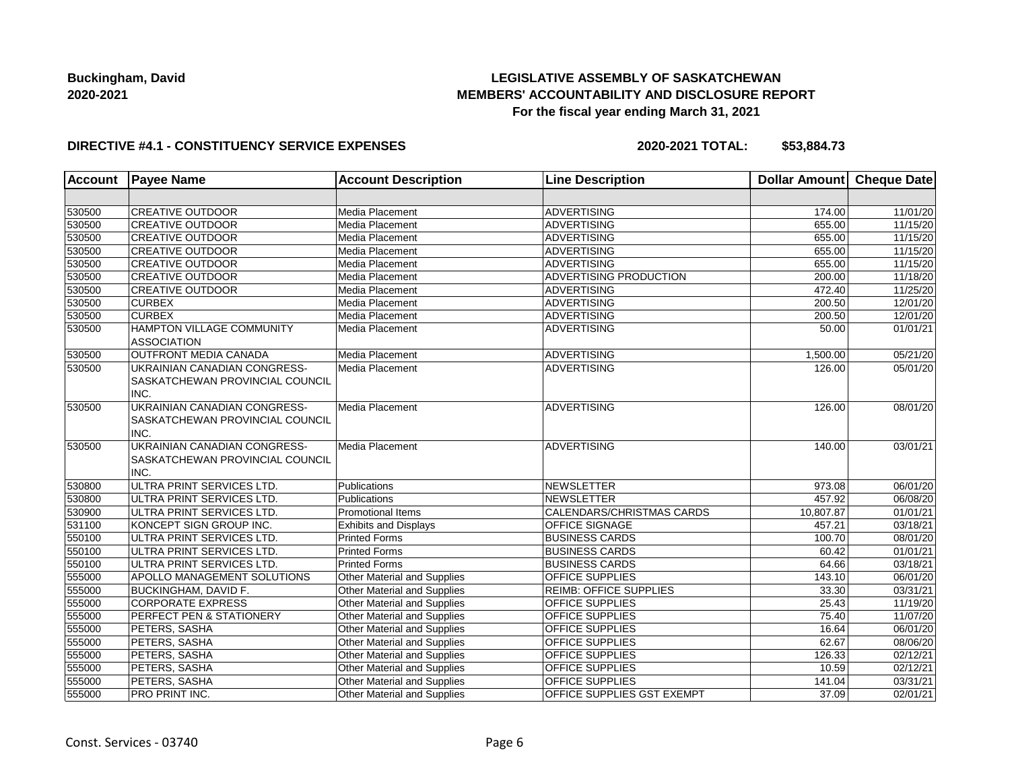# **LEGISLATIVE ASSEMBLY OF SASKATCHEWAN MEMBERS' ACCOUNTABILITY AND DISCLOSURE REPORT For the fiscal year ending March 31, 2021**

### **DIRECTIVE #4.1 - CONSTITUENCY SERVICE EXPENSES**

| <b>Account</b> | <b>Payee Name</b>                                                       | <b>Account Description</b>         | <b>Line Description</b>       | Dollar Amount Cheque Date |          |
|----------------|-------------------------------------------------------------------------|------------------------------------|-------------------------------|---------------------------|----------|
|                |                                                                         |                                    |                               |                           |          |
| 530500         | <b>CREATIVE OUTDOOR</b>                                                 | Media Placement                    | <b>ADVERTISING</b>            | 174.00                    | 11/01/20 |
| 530500         | <b>CREATIVE OUTDOOR</b>                                                 | Media Placement                    | <b>ADVERTISING</b>            | 655.00                    | 11/15/20 |
| 530500         | <b>CREATIVE OUTDOOR</b>                                                 | Media Placement                    | <b>ADVERTISING</b>            | 655.00                    | 11/15/20 |
| 530500         | <b>CREATIVE OUTDOOR</b>                                                 | Media Placement                    | <b>ADVERTISING</b>            | 655.00                    | 11/15/20 |
| 530500         | <b>CREATIVE OUTDOOR</b>                                                 | Media Placement                    | <b>ADVERTISING</b>            | 655.00                    | 11/15/20 |
| 530500         | <b>CREATIVE OUTDOOR</b>                                                 | Media Placement                    | ADVERTISING PRODUCTION        | 200.00                    | 11/18/20 |
| 530500         | <b>CREATIVE OUTDOOR</b>                                                 | Media Placement                    | <b>ADVERTISING</b>            | 472.40                    | 11/25/20 |
| 530500         | <b>CURBEX</b>                                                           | Media Placement                    | <b>ADVERTISING</b>            | 200.50                    | 12/01/20 |
| 530500         | <b>CURBEX</b>                                                           | Media Placement                    | <b>ADVERTISING</b>            | 200.50                    | 12/01/20 |
| 530500         | <b>HAMPTON VILLAGE COMMUNITY</b><br><b>ASSOCIATION</b>                  | Media Placement                    | <b>ADVERTISING</b>            | 50.00                     | 01/01/21 |
| 530500         | OUTFRONT MEDIA CANADA                                                   | Media Placement                    | <b>ADVERTISING</b>            | 1,500.00                  | 05/21/20 |
| 530500         | UKRAINIAN CANADIAN CONGRESS-<br>SASKATCHEWAN PROVINCIAL COUNCIL<br>INC. | Media Placement                    | <b>ADVERTISING</b>            | 126.00                    | 05/01/20 |
| 530500         | UKRAINIAN CANADIAN CONGRESS-<br>SASKATCHEWAN PROVINCIAL COUNCIL<br>INC. | Media Placement                    | <b>ADVERTISING</b>            | 126.00                    | 08/01/20 |
| 530500         | UKRAINIAN CANADIAN CONGRESS-<br>SASKATCHEWAN PROVINCIAL COUNCIL<br>INC. | Media Placement                    | <b>ADVERTISING</b>            | 140.00                    | 03/01/21 |
| 530800         | ULTRA PRINT SERVICES LTD.                                               | Publications                       | <b>NEWSLETTER</b>             | 973.08                    | 06/01/20 |
| 530800         | ULTRA PRINT SERVICES LTD.                                               | Publications                       | <b>NEWSLETTER</b>             | 457.92                    | 06/08/20 |
| 530900         | ULTRA PRINT SERVICES LTD.                                               | <b>Promotional Items</b>           | CALENDARS/CHRISTMAS CARDS     | 10,807.87                 | 01/01/21 |
| 531100         | KONCEPT SIGN GROUP INC.                                                 | <b>Exhibits and Displays</b>       | OFFICE SIGNAGE                | 457.21                    | 03/18/21 |
| 550100         | ULTRA PRINT SERVICES LTD.                                               | <b>Printed Forms</b>               | <b>BUSINESS CARDS</b>         | 100.70                    | 08/01/20 |
| 550100         | ULTRA PRINT SERVICES LTD.                                               | <b>Printed Forms</b>               | <b>BUSINESS CARDS</b>         | 60.42                     | 01/01/21 |
| 550100         | ULTRA PRINT SERVICES LTD.                                               | <b>Printed Forms</b>               | <b>BUSINESS CARDS</b>         | 64.66                     | 03/18/21 |
| 555000         | APOLLO MANAGEMENT SOLUTIONS                                             | Other Material and Supplies        | OFFICE SUPPLIES               | 143.10                    | 06/01/20 |
| 555000         | <b>BUCKINGHAM, DAVID F.</b>                                             | <b>Other Material and Supplies</b> | <b>REIMB: OFFICE SUPPLIES</b> | 33.30                     | 03/31/21 |
| 555000         | <b>CORPORATE EXPRESS</b>                                                | Other Material and Supplies        | OFFICE SUPPLIES               | 25.43                     | 11/19/20 |
| 555000         | PERFECT PEN & STATIONERY                                                | Other Material and Supplies        | OFFICE SUPPLIES               | 75.40                     | 11/07/20 |
| 555000         | PETERS, SASHA                                                           | Other Material and Supplies        | OFFICE SUPPLIES               | 16.64                     | 06/01/20 |
| 555000         | PETERS, SASHA                                                           | Other Material and Supplies        | OFFICE SUPPLIES               | 62.67                     | 08/06/20 |
| 555000         | PETERS, SASHA                                                           | Other Material and Supplies        | OFFICE SUPPLIES               | 126.33                    | 02/12/21 |
| 555000         | PETERS, SASHA                                                           | Other Material and Supplies        | OFFICE SUPPLIES               | 10.59                     | 02/12/21 |
| 555000         | PETERS, SASHA                                                           | <b>Other Material and Supplies</b> | OFFICE SUPPLIES               | 141.04                    | 03/31/21 |
| 555000         | PRO PRINT INC.                                                          | Other Material and Supplies        | OFFICE SUPPLIES GST EXEMPT    | 37.09                     | 02/01/21 |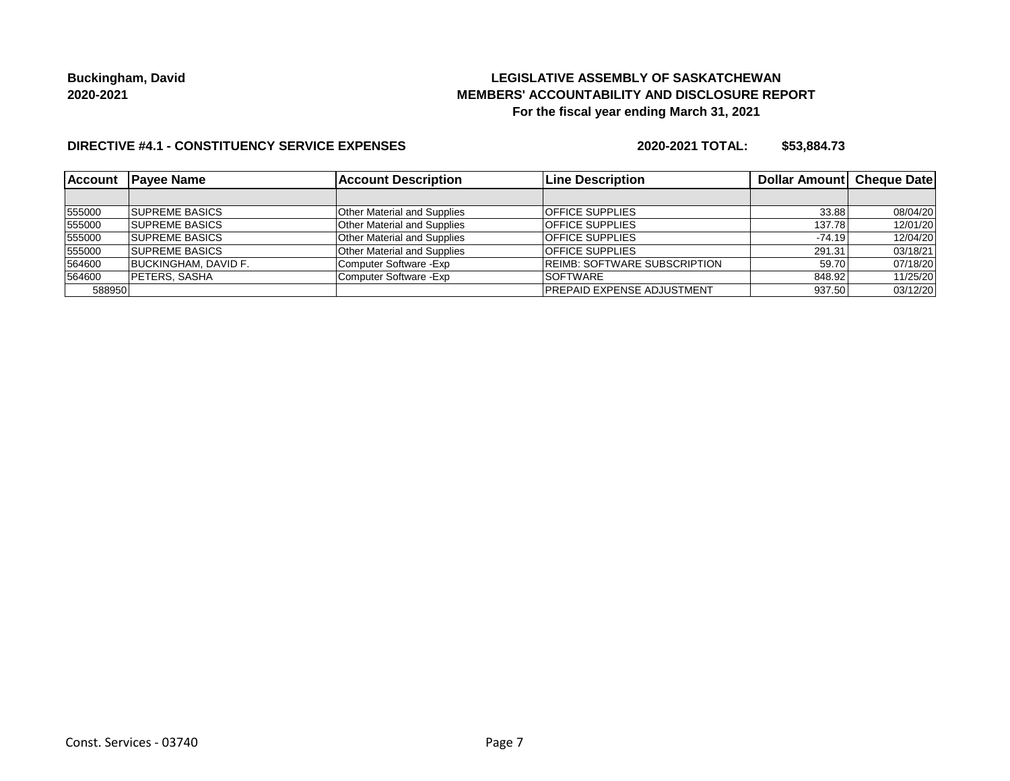# **LEGISLATIVE ASSEMBLY OF SASKATCHEWAN MEMBERS' ACCOUNTABILITY AND DISCLOSURE REPORT For the fiscal year ending March 31, 2021**

### **DIRECTIVE #4.1 - CONSTITUENCY SERVICE EXPENSES**

| <b>Account</b> | <b>Payee Name</b>           | <b>Account Description</b>         | <b>Line Description</b>             | Dollar Amount Cheque Date |          |
|----------------|-----------------------------|------------------------------------|-------------------------------------|---------------------------|----------|
|                |                             |                                    |                                     |                           |          |
| 555000         | <b>SUPREME BASICS</b>       | <b>Other Material and Supplies</b> | <b>OFFICE SUPPLIES</b>              | 33.88                     | 08/04/20 |
| 555000         | <b>SUPREME BASICS</b>       | <b>Other Material and Supplies</b> | <b>OFFICE SUPPLIES</b>              | 137.78                    | 12/01/20 |
| 555000         | <b>SUPREME BASICS</b>       | <b>Other Material and Supplies</b> | <b>OFFICE SUPPLIES</b>              | $-74.19$                  | 12/04/20 |
| 555000         | <b>SUPREME BASICS</b>       | <b>Other Material and Supplies</b> | <b>OFFICE SUPPLIES</b>              | 291.31                    | 03/18/21 |
| 564600         | <b>BUCKINGHAM, DAVID F.</b> | Computer Software - Exp            | <b>REIMB: SOFTWARE SUBSCRIPTION</b> | 59.70                     | 07/18/20 |
| 564600         | <b>PETERS, SASHA</b>        | Computer Software - Exp            | <b>SOFTWARE</b>                     | 848.92                    | 11/25/20 |
| 588950         |                             |                                    | <b>PREPAID EXPENSE ADJUSTMENT</b>   | 937.50                    | 03/12/20 |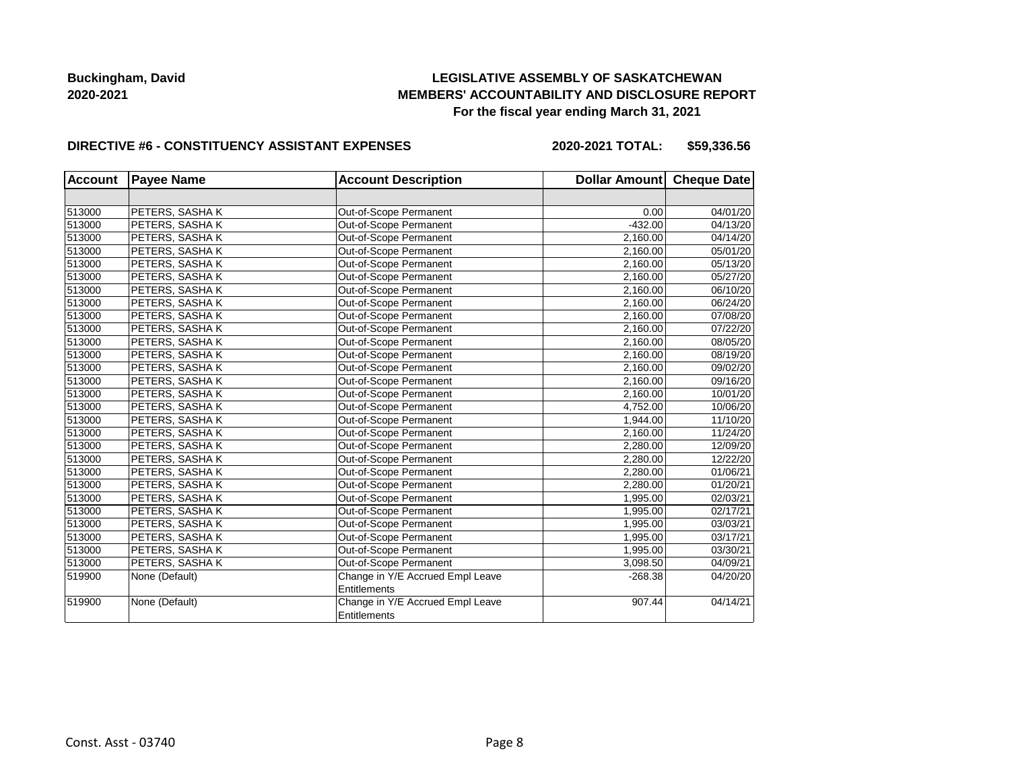# **LEGISLATIVE ASSEMBLY OF SASKATCHEWAN MEMBERS' ACCOUNTABILITY AND DISCLOSURE REPORT For the fiscal year ending March 31, 2021**

#### **DIRECTIVE #6 - CONSTITUENCY ASSISTANT EXPENSES**

**2020-2021 TOTAL: \$59,336.56**

| <b>Account</b> | <b>Payee Name</b> | <b>Account Description</b>       | Dollar Amount Cheque Date |          |
|----------------|-------------------|----------------------------------|---------------------------|----------|
|                |                   |                                  |                           |          |
| 513000         | PETERS, SASHAK    | Out-of-Scope Permanent           | 0.00                      | 04/01/20 |
| 513000         | PETERS, SASHAK    | Out-of-Scope Permanent           | $-432.00$                 | 04/13/20 |
| 513000         | PETERS, SASHAK    | Out-of-Scope Permanent           | 2.160.00                  | 04/14/20 |
| 513000         | PETERS, SASHAK    | Out-of-Scope Permanent           | 2,160.00                  | 05/01/20 |
| 513000         | PETERS, SASHAK    | Out-of-Scope Permanent           | 2,160.00                  | 05/13/20 |
| 513000         | PETERS, SASHAK    | Out-of-Scope Permanent           | 2,160.00                  | 05/27/20 |
| 513000         | PETERS, SASHAK    | Out-of-Scope Permanent           | 2,160.00                  | 06/10/20 |
| 513000         | PETERS, SASHAK    | Out-of-Scope Permanent           | 2,160.00                  | 06/24/20 |
| 513000         | PETERS, SASHAK    | Out-of-Scope Permanent           | 2,160.00                  | 07/08/20 |
| 513000         | PETERS, SASHAK    | Out-of-Scope Permanent           | 2,160.00                  | 07/22/20 |
| 513000         | PETERS, SASHAK    | Out-of-Scope Permanent           | 2,160.00                  | 08/05/20 |
| 513000         | PETERS, SASHAK    | Out-of-Scope Permanent           | 2,160.00                  | 08/19/20 |
| 513000         | PETERS, SASHAK    | Out-of-Scope Permanent           | 2,160.00                  | 09/02/20 |
| 513000         | PETERS, SASHAK    | Out-of-Scope Permanent           | 2,160.00                  | 09/16/20 |
| 513000         | PETERS, SASHAK    | Out-of-Scope Permanent           | 2,160.00                  | 10/01/20 |
| 513000         | PETERS, SASHAK    | Out-of-Scope Permanent           | 4,752.00                  | 10/06/20 |
| 513000         | PETERS, SASHAK    | Out-of-Scope Permanent           | 1,944.00                  | 11/10/20 |
| 513000         | PETERS, SASHAK    | Out-of-Scope Permanent           | 2,160.00                  | 11/24/20 |
| 513000         | PETERS, SASHA K   | Out-of-Scope Permanent           | 2,280.00                  | 12/09/20 |
| 513000         | PETERS, SASHAK    | Out-of-Scope Permanent           | 2,280.00                  | 12/22/20 |
| 513000         | PETERS, SASHAK    | Out-of-Scope Permanent           | 2,280.00                  | 01/06/21 |
| 513000         | PETERS, SASHAK    | Out-of-Scope Permanent           | 2,280.00                  | 01/20/21 |
| 513000         | PETERS, SASHAK    | Out-of-Scope Permanent           | 1,995.00                  | 02/03/21 |
| 513000         | PETERS, SASHAK    | Out-of-Scope Permanent           | 1,995.00                  | 02/17/21 |
| 513000         | PETERS, SASHAK    | Out-of-Scope Permanent           | 1,995.00                  | 03/03/21 |
| 513000         | PETERS, SASHAK    | Out-of-Scope Permanent           | 1,995.00                  | 03/17/21 |
| 513000         | PETERS, SASHAK    | Out-of-Scope Permanent           | 1,995.00                  | 03/30/21 |
| 513000         | PETERS, SASHAK    | Out-of-Scope Permanent           | 3,098.50                  | 04/09/21 |
| 519900         | None (Default)    | Change in Y/E Accrued Empl Leave | $-268.38$                 | 04/20/20 |
|                |                   | <b>Entitlements</b>              |                           |          |
| 519900         | None (Default)    | Change in Y/E Accrued Empl Leave | 907.44                    | 04/14/21 |
|                |                   | Entitlements                     |                           |          |